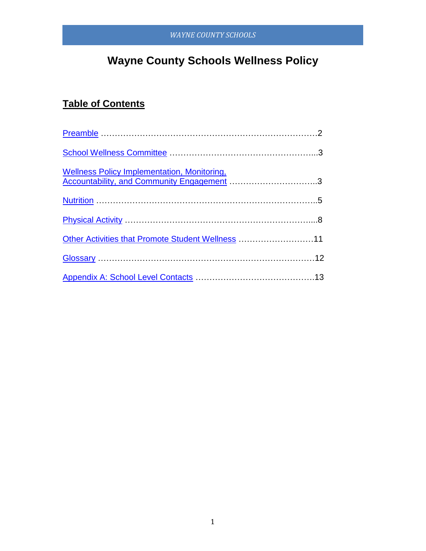# **Wayne County Schools Wellness Policy**

## **Table of Contents**

| <u>Extensional concylimpiementation, Monitoring,</u><br>Accountability, and Community Engagement 3 |  |
|----------------------------------------------------------------------------------------------------|--|
|                                                                                                    |  |
|                                                                                                    |  |
| Other Activities that Promote Student Wellness 11                                                  |  |
|                                                                                                    |  |
|                                                                                                    |  |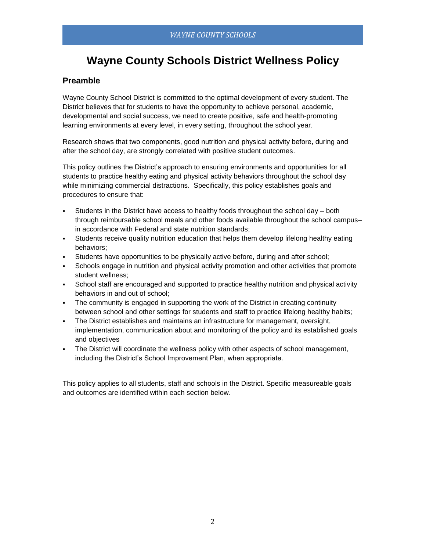## **Wayne County Schools District Wellness Policy**

## <span id="page-1-0"></span>**Preamble**

Wayne County School District is committed to the optimal development of every student. The District believes that for students to have the opportunity to achieve personal, academic, developmental and social success, we need to create positive, safe and health-promoting learning environments at every level, in every setting, throughout the school year.

Research shows that two components, good nutrition and physical activity before, during and after the school day, are strongly correlated with positive student outcomes.

This policy outlines the District's approach to ensuring environments and opportunities for all students to practice healthy eating and physical activity behaviors throughout the school day while minimizing commercial distractions. Specifically, this policy establishes goals and procedures to ensure that:

- Students in the District have access to healthy foods throughout the school day both through reimbursable school meals and other foods available throughout the school campusin accordance with Federal and state nutrition standards;
- Students receive quality nutrition education that helps them develop lifelong healthy eating behaviors;
- Students have opportunities to be physically active before, during and after school;
- Schools engage in nutrition and physical activity promotion and other activities that promote student wellness;
- School staff are encouraged and supported to practice healthy nutrition and physical activity behaviors in and out of school;
- The community is engaged in supporting the work of the District in creating continuity between school and other settings for students and staff to practice lifelong healthy habits;
- The District establishes and maintains an infrastructure for management, oversight, implementation, communication about and monitoring of the policy and its established goals and objectives
- The District will coordinate the wellness policy with other aspects of school management, including the District's School Improvement Plan, when appropriate.

This policy applies to all students, staff and schools in the District. Specific measureable goals and outcomes are identified within each section below.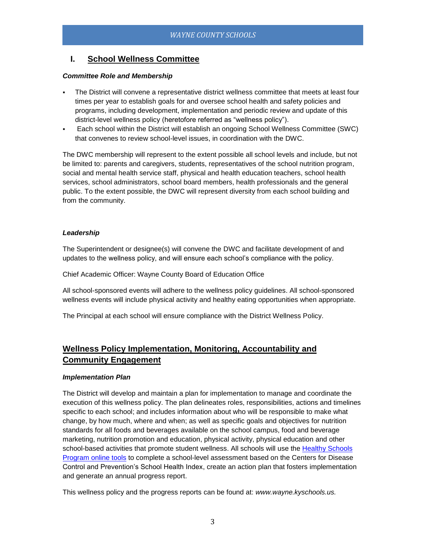## <span id="page-2-0"></span>**I. School Wellness Committee**

#### *Committee Role and Membership*

- The District will convene a representative district wellness committee that meets at least four times per year to establish goals for and oversee school health and safety policies and programs, including development, implementation and periodic review and update of this district-level wellness policy (heretofore referred as "wellness policy").
- Each school within the District will establish an ongoing School Wellness Committee (SWC) that convenes to review school-level issues, in coordination with the DWC.

The DWC membership will represent to the extent possible all school levels and include, but not be limited to: parents and caregivers, students, representatives of the school nutrition program, social and mental health service staff, physical and health education teachers, school health services, school administrators, school board members, health professionals and the general public. To the extent possible, the DWC will represent diversity from each school building and from the community.

#### *Leadership*

The Superintendent or designee(s) will convene the DWC and facilitate development of and updates to the wellness policy, and will ensure each school's compliance with the policy.

Chief Academic Officer: Wayne County Board of Education Office

All school-sponsored events will adhere to the wellness policy guidelines. All school-sponsored wellness events will include physical activity and healthy eating opportunities when appropriate.

<span id="page-2-1"></span>The Principal at each school will ensure compliance with the District Wellness Policy.

## **Wellness Policy Implementation, Monitoring, Accountability and Community Engagement**

#### *Implementation Plan*

The District will develop and maintain a plan for implementation to manage and coordinate the execution of this wellness policy. The plan delineates roles, responsibilities, actions and timelines specific to each school; and includes information about who will be responsible to make what change, by how much, where and when; as well as specific goals and objectives for nutrition standards for all foods and beverages available on the school campus, food and beverage marketing, nutrition promotion and education, physical activity, physical education and other school-based activities that promote student wellness. All schools will use the Healthy Schools [Program online tools](http://www.schools.healthiergeneration.org/) to complete a school-level assessment based on the Centers for Disease Control and Prevention's School Health Index, create an action plan that fosters implementation and generate an annual progress report.

This wellness policy and the progress reports can be found at: *www.wayne.kyschools.us.*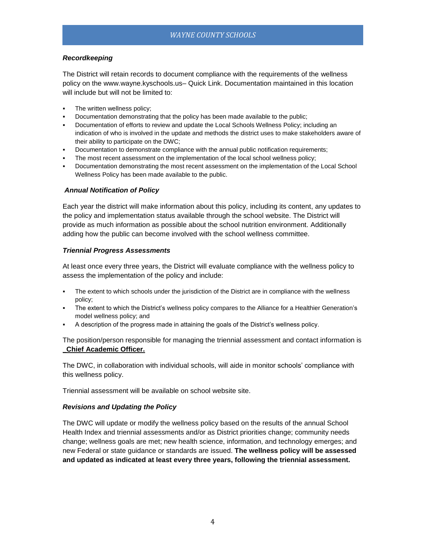#### *Recordkeeping*

The District will retain records to document compliance with the requirements of the wellness policy on the www.wayne.kyschools.us– Quick Link. Documentation maintained in this location will include but will not be limited to:

- **The written wellness policy:**
- Documentation demonstrating that the policy has been made available to the public;
- Documentation of efforts to review and update the Local Schools Wellness Policy; including an indication of who is involved in the update and methods the district uses to make stakeholders aware of their ability to participate on the DWC;
- Documentation to demonstrate compliance with the annual public notification requirements;
- The most recent assessment on the implementation of the local school wellness policy;
- Documentation demonstrating the most recent assessment on the implementation of the Local School Wellness Policy has been made available to the public.

#### *Annual Notification of Policy*

Each year the district will make information about this policy, including its content, any updates to the policy and implementation status available through the school website. The District will provide as much information as possible about the school nutrition environment. Additionally adding how the public can become involved with the school wellness committee.

#### *Triennial Progress Assessments*

At least once every three years, the District will evaluate compliance with the wellness policy to assess the implementation of the policy and include:

- The extent to which schools under the jurisdiction of the District are in compliance with the wellness policy;
- The extent to which the District's wellness policy compares to the Alliance for a Healthier Generation's model wellness policy; and
- A description of the progress made in attaining the goals of the District's wellness policy.

The position/person responsible for managing the triennial assessment and contact information is **\_Chief Academic Officer.**

The DWC, in collaboration with individual schools, will aide in monitor schools' compliance with this wellness policy.

Triennial assessment will be available on school website site.

#### *Revisions and Updating the Policy*

The DWC will update or modify the wellness policy based on the results of the annual School Health Index and triennial assessments and/or as District priorities change; community needs change; wellness goals are met; new health science, information, and technology emerges; and new Federal or state guidance or standards are issued. **The wellness policy will be assessed and updated as indicated at least every three years, following the triennial assessment.**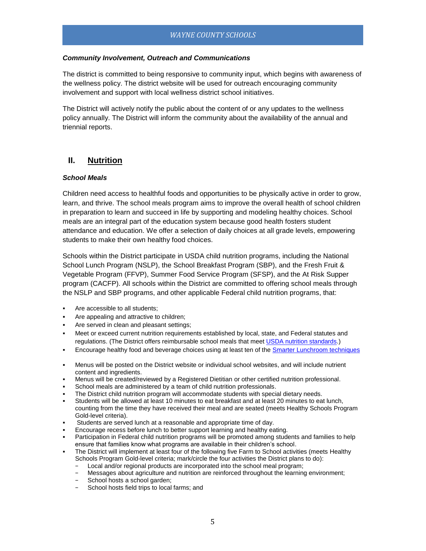#### *Community Involvement, Outreach and Communications*

The district is committed to being responsive to community input, which begins with awareness of the wellness policy. The district website will be used for outreach encouraging community involvement and support with local wellness district school initiatives.

The District will actively notify the public about the content of or any updates to the wellness policy annually. The District will inform the community about the availability of the annual and triennial reports.

## <span id="page-4-0"></span>**II. Nutrition**

#### *School Meals*

Children need access to healthful foods and opportunities to be physically active in order to grow, learn, and thrive. The school meals program aims to improve the overall health of school children in preparation to learn and succeed in life by supporting and modeling healthy choices. School meals are an integral part of the education system because good health fosters student attendance and education. We offer a selection of daily choices at all grade levels, empowering students to make their own healthy food choices.

Schools within the District participate in USDA child nutrition programs, including the National School Lunch Program (NSLP), the School Breakfast Program (SBP), and the Fresh Fruit & Vegetable Program (FFVP), Summer Food Service Program (SFSP), and the At Risk Supper program (CACFP). All schools within the District are committed to offering school meals through the NSLP and SBP programs, and other applicable Federal child nutrition programs, that:

- Are accessible to all students;
- Are appealing and attractive to children;
- Are served in clean and pleasant settings;
- Meet or exceed current nutrition requirements established by local, state, and Federal statutes and regulations. (The District offers reimbursable school meals that mee[t USDA nutrition standards.](http://www.fns.usda.gov/school-meals/nutrition-standards-school-meals))
- Encourage healthy food and beverage choices using at least ten of the [Smarter Lunchroom techniques](http://smarterlunchrooms.org/ideas)
- Menus will be posted on the District website or individual school websites, and will include nutrient content and ingredients.
- Menus will be created/reviewed by a Registered Dietitian or other certified nutrition professional.
- School meals are administered by a team of child nutrition professionals.
- The District child nutrition program will accommodate students with special dietary needs.
- Students will be allowed at least 10 minutes to eat breakfast and at least 20 minutes to eat lunch, counting from the time they have received their meal and are seated (meets Healthy Schools Program Gold-level criteria).
- Students are served lunch at a reasonable and appropriate time of day.
- Encourage recess before lunch to better support learning and healthy eating.
- Participation in Federal child nutrition programs will be promoted among students and families to help ensure that families know what programs are available in their children's school.
- The District will implement at least four of the following five Farm to School activities (meets Healthy Schools Program Gold-level criteria; mark/circle the four activities the District plans to do):
	- Local and/or regional products are incorporated into the school meal program;
	- − Messages about agriculture and nutrition are reinforced throughout the learning environment;
	- School hosts a school garden;
	- School hosts field trips to local farms; and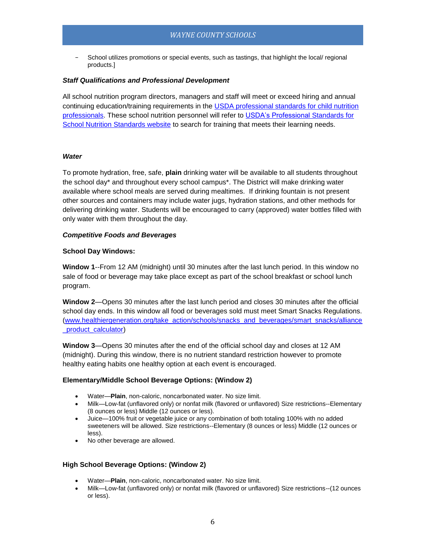School utilizes promotions or special events, such as tastings, that highlight the local/ regional products.]

#### *Staff Qualifications and Professional Development*

All school nutrition program directors, managers and staff will meet or exceed hiring and annual continuing education/training requirements in the [USDA professional standards for child nutrition](http://www.fns.usda.gov/sites/default/files/CN2014-0130.pdf)  [professionals.](http://www.fns.usda.gov/sites/default/files/CN2014-0130.pdf) These school nutrition personnel will refer to [USDA's Professional Standards for](http://professionalstandards.nal.usda.gov/)  [School Nutrition Standards website](http://professionalstandards.nal.usda.gov/) to search for training that meets their learning needs.

#### *Water*

To promote hydration, free, safe, **plain** drinking water will be available to all students throughout the school day\* and throughout every school campus\*. The District will make drinking water available where school meals are served during mealtimes. If drinking fountain is not present other sources and containers may include water jugs, hydration stations, and other methods for delivering drinking water. Students will be encouraged to carry (approved) water bottles filled with only water with them throughout the day.

#### *Competitive Foods and Beverages*

#### **School Day Windows:**

**Window 1**--From 12 AM (midnight) until 30 minutes after the last lunch period. In this window no sale of food or beverage may take place except as part of the school breakfast or school lunch program.

**Window 2**—Opens 30 minutes after the last lunch period and closes 30 minutes after the official school day ends. In this window all food or beverages sold must meet Smart Snacks Regulations. [\(www.healthiergeneration.org/take\\_action/schools/snacks\\_and\\_beverages/smart\\_snacks/alliance](http://www.healthiergeneration.org/take_action/schools/snacks_and_beverages/smart_snacks/alliance_product_calculator) [\\_product\\_calculator\)](http://www.healthiergeneration.org/take_action/schools/snacks_and_beverages/smart_snacks/alliance_product_calculator)

**Window 3**—Opens 30 minutes after the end of the official school day and closes at 12 AM (midnight). During this window, there is no nutrient standard restriction however to promote healthy eating habits one healthy option at each event is encouraged.

#### **Elementary/Middle School Beverage Options: (Window 2)**

- Water—**Plain**, non-caloric, noncarbonated water. No size limit.
- Milk—Low-fat (unflavored only) or nonfat milk (flavored or unflavored) Size restrictions--Elementary (8 ounces or less) Middle (12 ounces or less).
- Juice—100% fruit or vegetable juice or any combination of both totaling 100% with no added sweeteners will be allowed. Size restrictions--Elementary (8 ounces or less) Middle (12 ounces or less).
- No other beverage are allowed.

#### **High School Beverage Options: (Window 2)**

- Water—**Plain**, non-caloric, noncarbonated water. No size limit.
- Milk—Low-fat (unflavored only) or nonfat milk (flavored or unflavored) Size restrictions--(12 ounces or less).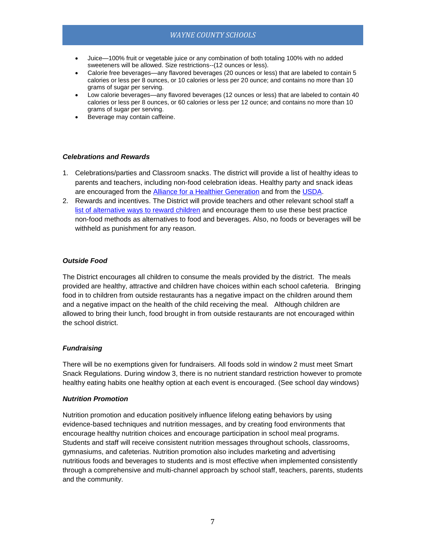- Juice—100% fruit or vegetable juice or any combination of both totaling 100% with no added sweeteners will be allowed. Size restrictions--(12 ounces or less).
- Calorie free beverages—any flavored beverages (20 ounces or less) that are labeled to contain 5 calories or less per 8 ounces, or 10 calories or less per 20 ounce; and contains no more than 10 grams of sugar per serving.
- Low calorie beverages—any flavored beverages (12 ounces or less) that are labeled to contain 40 calories or less per 8 ounces, or 60 calories or less per 12 ounce; and contains no more than 10 grams of sugar per serving.
- Beverage may contain caffeine.

#### *Celebrations and Rewards*

- 1. Celebrations/parties and Classroom snacks. The district will provide a list of healthy ideas to parents and teachers, including non-food celebration ideas. Healthy party and snack ideas are encouraged from the [Alliance for a Healthier Generation](https://www.healthiergeneration.org/take_action/schools/snacks_and_beverages/celebrations/) and from the [USDA.](http://healthymeals.nal.usda.gov/local-wellness-policy-resources/wellness-policy-elements/healthy-celebrations)
- 2. Rewards and incentives. The District will provide teachers and other relevant school staff a [list of alternative ways to reward children](https://www.healthiergeneration.org/take_action/schools/snacks_and_beverages/non-food_rewards/) and encourage them to use these best practice non-food methods as alternatives to food and beverages. Also, no foods or beverages will be withheld as punishment for any reason.

#### *Outside Food*

The District encourages all children to consume the meals provided by the district. The meals provided are healthy, attractive and children have choices within each school cafeteria. Bringing food in to children from outside restaurants has a negative impact on the children around them and a negative impact on the health of the child receiving the meal. Although children are allowed to bring their lunch, food brought in from outside restaurants are not encouraged within the school district.

#### *Fundraising*

There will be no exemptions given for fundraisers. All foods sold in window 2 must meet Smart Snack Regulations. During window 3, there is no nutrient standard restriction however to promote healthy eating habits one healthy option at each event is encouraged. (See school day windows)

#### *Nutrition Promotion*

Nutrition promotion and education positively influence lifelong eating behaviors by using evidence-based techniques and nutrition messages, and by creating food environments that encourage healthy nutrition choices and encourage participation in school meal programs. Students and staff will receive consistent nutrition messages throughout schools, classrooms, gymnasiums, and cafeterias. Nutrition promotion also includes marketing and advertising nutritious foods and beverages to students and is most effective when implemented consistently through a comprehensive and multi-channel approach by school staff, teachers, parents, students and the community.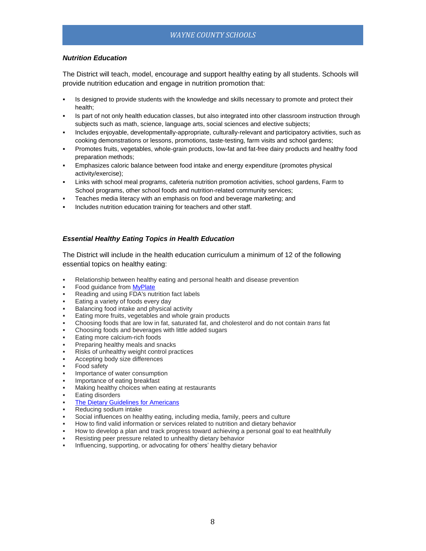#### *Nutrition Education*

The District will teach, model, encourage and support healthy eating by all students. Schools will provide nutrition education and engage in nutrition promotion that:

- Is designed to provide students with the knowledge and skills necessary to promote and protect their health;
- Is part of not only health education classes, but also integrated into other classroom instruction through subjects such as math, science, language arts, social sciences and elective subjects;
- Includes enjoyable, developmentally-appropriate, culturally-relevant and participatory activities, such as cooking demonstrations or lessons, promotions, taste-testing, farm visits and school gardens;
- Promotes fruits, vegetables, whole-grain products, low-fat and fat-free dairy products and healthy food preparation methods;
- Emphasizes caloric balance between food intake and energy expenditure (promotes physical activity/exercise);
- Links with school meal programs, cafeteria nutrition promotion activities, school gardens, Farm to School programs, other school foods and nutrition-related community services;
- Teaches media literacy with an emphasis on food and beverage marketing; and
- Includes nutrition education training for teachers and other staff.

#### *Essential Healthy Eating Topics in Health Education*

The District will include in the health education curriculum a minimum of 12 of the following essential topics on healthy eating:

- Relationship between healthy eating and personal health and disease prevention
- Food guidance fro[m MyPlate](http://www.choosemyplate.gov/)
- Reading and using FDA's nutrition fact labels
- Eating a variety of foods every day
- Balancing food intake and physical activity
- Eating more fruits, vegetables and whole grain products
- Choosing foods that are low in fat, saturated fat, and cholesterol and do not contain *trans* fat
- Choosing foods and beverages with little added sugars
- Eating more calcium-rich foods
- Preparing healthy meals and snacks
- Risks of unhealthy weight control practices
- Accepting body size differences
- Food safety
- Importance of water consumption
- Importance of eating breakfast
- Making healthy choices when eating at restaurants
- Eating disorders
- [The Dietary Guidelines for Americans](https://www.choosemyplate.gov/dietary-guidelines)
- Reducing sodium intake
- Social influences on healthy eating, including media, family, peers and culture
- How to find valid information or services related to nutrition and dietary behavior
- How to develop a plan and track progress toward achieving a personal goal to eat healthfully
- Resisting peer pressure related to unhealthy dietary behavior
- Influencing, supporting, or advocating for others' healthy dietary behavior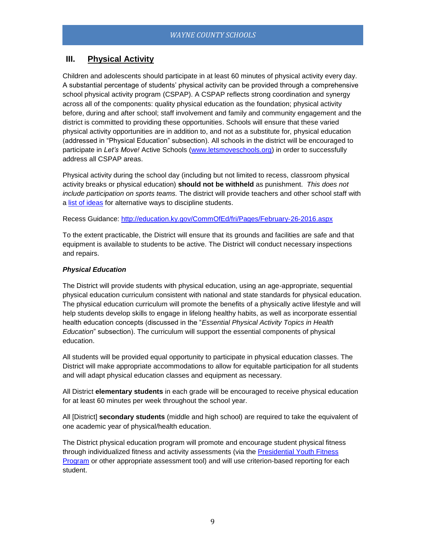## <span id="page-8-0"></span>**III. Physical Activity**

Children and adolescents should participate in at least 60 minutes of physical activity every day. A substantial percentage of students' physical activity can be provided through a comprehensive school physical activity program (CSPAP). A CSPAP reflects strong coordination and synergy across all of the components: quality physical education as the foundation; physical activity before, during and after school; staff involvement and family and community engagement and the district is committed to providing these opportunities. Schools will ensure that these varied physical activity opportunities are in addition to, and not as a substitute for, physical education (addressed in "Physical Education" subsection). All schools in the district will be encouraged to participate in *Let's Move!* Active Schools [\(www.letsmoveschools.org\)](http://www.letsmoveschools.org/) in order to successfully address all CSPAP areas.

Physical activity during the school day (including but not limited to recess, classroom physical activity breaks or physical education) **should not be withheld** as punishment. *This does not include participation on sports teams.* The district will provide teachers and other school staff with a [list of ideas](http://cspinet.org/new/pdf/constructive_classroom_rewards.pdf) for alternative ways to discipline students.

Recess Guidance:<http://education.ky.gov/CommOfEd/fri/Pages/February-26-2016.aspx>

To the extent practicable, the District will ensure that its grounds and facilities are safe and that equipment is available to students to be active. The District will conduct necessary inspections and repairs.

#### *Physical Education*

The District will provide students with physical education, using an age-appropriate, sequential physical education curriculum consistent with national and state standards for physical education. The physical education curriculum will promote the benefits of a physically active lifestyle and will help students develop skills to engage in lifelong healthy habits, as well as incorporate essential health education concepts (discussed in the "*Essential Physical Activity Topics in Health Education*" subsection). The curriculum will support the essential components of physical education.

All students will be provided equal opportunity to participate in physical education classes. The District will make appropriate accommodations to allow for equitable participation for all students and will adapt physical education classes and equipment as necessary.

All District **elementary students** in each grade will be encouraged to receive physical education for at least 60 minutes per week throughout the school year.

All [District] **secondary students** (middle and high school) are required to take the equivalent of one academic year of physical/health education.

The District physical education program will promote and encourage student physical fitness through individualized fitness and activity assessments (via the [Presidential Youth Fitness](http://www.pyfp.org/)  [Program](http://www.pyfp.org/) or other appropriate assessment tool) and will use criterion-based reporting for each student.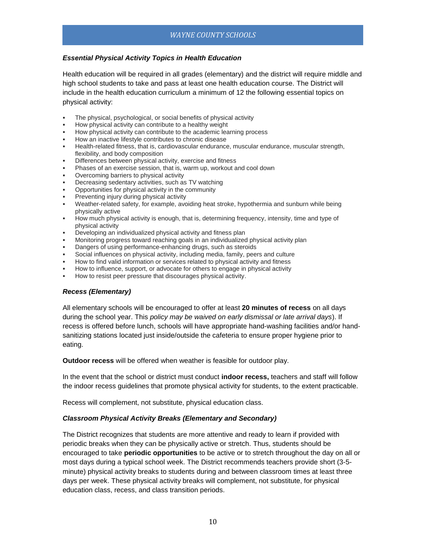#### *Essential Physical Activity Topics in Health Education*

Health education will be required in all grades (elementary) and the district will require middle and high school students to take and pass at least one health education course. The District will include in the health education curriculum a minimum of 12 the following essential topics on physical activity:

- The physical, psychological, or social benefits of physical activity
- How physical activity can contribute to a healthy weight
- How physical activity can contribute to the academic learning process
- How an inactive lifestyle contributes to chronic disease
- Health-related fitness, that is, cardiovascular endurance, muscular endurance, muscular strength, flexibility, and body composition
- Differences between physical activity, exercise and fitness
- Phases of an exercise session, that is, warm up, workout and cool down
- Overcoming barriers to physical activity
- Decreasing sedentary activities, such as TV watching
- Opportunities for physical activity in the community
- Preventing injury during physical activity
- Weather-related safety, for example, avoiding heat stroke, hypothermia and sunburn while being physically active
- How much physical activity is enough, that is, determining frequency, intensity, time and type of physical activity
- Developing an individualized physical activity and fitness plan
- Monitoring progress toward reaching goals in an individualized physical activity plan
- Dangers of using performance-enhancing drugs, such as steroids
- Social influences on physical activity, including media, family, peers and culture
- How to find valid information or services related to physical activity and fitness
- How to influence, support, or advocate for others to engage in physical activity
- How to resist peer pressure that discourages physical activity.

#### *Recess (Elementary)*

All elementary schools will be encouraged to offer at least **20 minutes of recess** on all days during the school year. This *policy may be waived on early dismissal or late arrival days*). If recess is offered before lunch, schools will have appropriate hand-washing facilities and/or handsanitizing stations located just inside/outside the cafeteria to ensure proper hygiene prior to eating.

**Outdoor recess** will be offered when weather is feasible for outdoor play.

In the event that the school or district must conduct **indoor recess,** teachers and staff will follow the indoor recess guidelines that promote physical activity for students, to the extent practicable.

Recess will complement, not substitute, physical education class.

#### *Classroom Physical Activity Breaks (Elementary and Secondary)*

The District recognizes that students are more attentive and ready to learn if provided with periodic breaks when they can be physically active or stretch. Thus, students should be encouraged to take **periodic opportunities** to be active or to stretch throughout the day on all or most days during a typical school week. The District recommends teachers provide short (3-5 minute) physical activity breaks to students during and between classroom times at least three days per week. These physical activity breaks will complement, not substitute, for physical education class, recess, and class transition periods.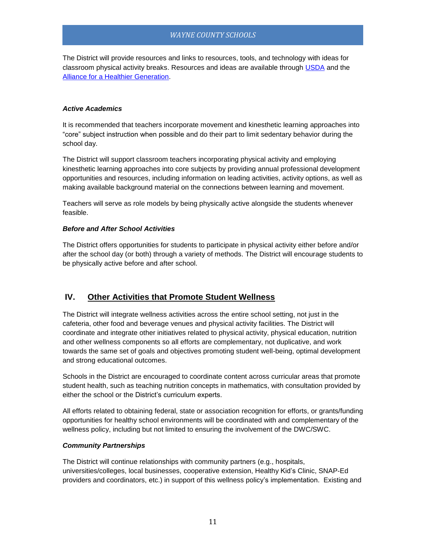The District will provide resources and links to resources, tools, and technology with ideas for classroom physical activity breaks. Resources and ideas are available through [USDA](http://healthymeals.nal.usda.gov/resource-library/physical-activity-school-aged-children/activities-and-tools) and the [Alliance for a Healthier Generation.](https://www.healthiergeneration.org/take_action/schools/physical_activity/physical_activities/)

#### *Active Academics*

It is recommended that teachers incorporate movement and kinesthetic learning approaches into "core" subject instruction when possible and do their part to limit sedentary behavior during the school day.

The District will support classroom teachers incorporating physical activity and employing kinesthetic learning approaches into core subjects by providing annual professional development opportunities and resources, including information on leading activities, activity options, as well as making available background material on the connections between learning and movement.

Teachers will serve as role models by being physically active alongside the students whenever feasible.

#### *Before and After School Activities*

The District offers opportunities for students to participate in physical activity either before and/or after the school day (or both) through a variety of methods. The District will encourage students to be physically active before and after school.

### <span id="page-10-0"></span>**IV. Other Activities that Promote Student Wellness**

The District will integrate wellness activities across the entire school setting, not just in the cafeteria, other food and beverage venues and physical activity facilities. The District will coordinate and integrate other initiatives related to physical activity, physical education, nutrition and other wellness components so all efforts are complementary, not duplicative, and work towards the same set of goals and objectives promoting student well-being, optimal development and strong educational outcomes.

Schools in the District are encouraged to coordinate content across curricular areas that promote student health, such as teaching nutrition concepts in mathematics, with consultation provided by either the school or the District's curriculum experts.

All efforts related to obtaining federal, state or association recognition for efforts, or grants/funding opportunities for healthy school environments will be coordinated with and complementary of the wellness policy, including but not limited to ensuring the involvement of the DWC/SWC.

#### *Community Partnerships*

The District will continue relationships with community partners (e.g., hospitals, universities/colleges, local businesses, cooperative extension, Healthy Kid's Clinic, SNAP-Ed providers and coordinators, etc.) in support of this wellness policy's implementation. Existing and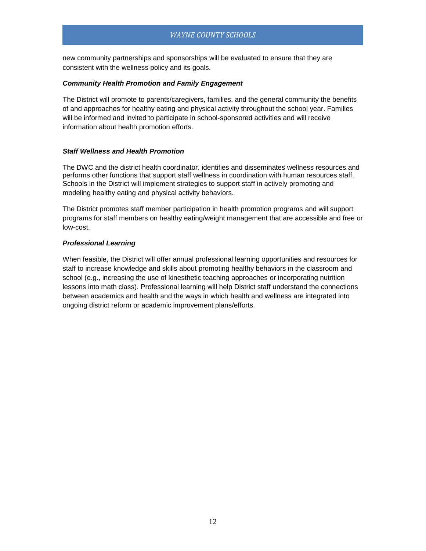new community partnerships and sponsorships will be evaluated to ensure that they are consistent with the wellness policy and its goals.

#### *Community Health Promotion and Family Engagement*

The District will promote to parents/caregivers, families, and the general community the benefits of and approaches for healthy eating and physical activity throughout the school year. Families will be informed and invited to participate in school-sponsored activities and will receive information about health promotion efforts.

#### *Staff Wellness and Health Promotion*

The DWC and the district health coordinator, identifies and disseminates wellness resources and performs other functions that support staff wellness in coordination with human resources staff. Schools in the District will implement strategies to support staff in actively promoting and modeling healthy eating and physical activity behaviors.

The District promotes staff member participation in health promotion programs and will support programs for staff members on healthy eating/weight management that are accessible and free or low-cost.

#### *Professional Learning*

<span id="page-11-0"></span>When feasible, the District will offer annual professional learning opportunities and resources for staff to increase knowledge and skills about promoting healthy behaviors in the classroom and school (e.g., increasing the use of kinesthetic teaching approaches or incorporating nutrition lessons into math class). Professional learning will help District staff understand the connections between academics and health and the ways in which health and wellness are integrated into ongoing district reform or academic improvement plans/efforts.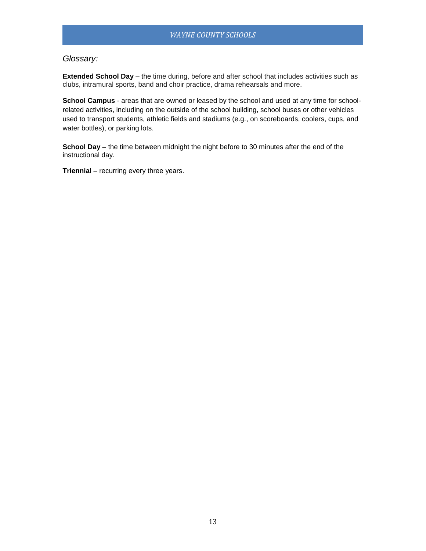## *Glossary:*

**Extended School Day** – the time during, before and after school that includes activities such as clubs, intramural sports, band and choir practice, drama rehearsals and more.

**School Campus** - areas that are owned or leased by the school and used at any time for schoolrelated activities, including on the outside of the school building, school buses or other vehicles used to transport students, athletic fields and stadiums (e.g., on scoreboards, coolers, cups, and water bottles), or parking lots.

**School Day** – the time between midnight the night before to 30 minutes after the end of the instructional day.

**Triennial** – recurring every three years.